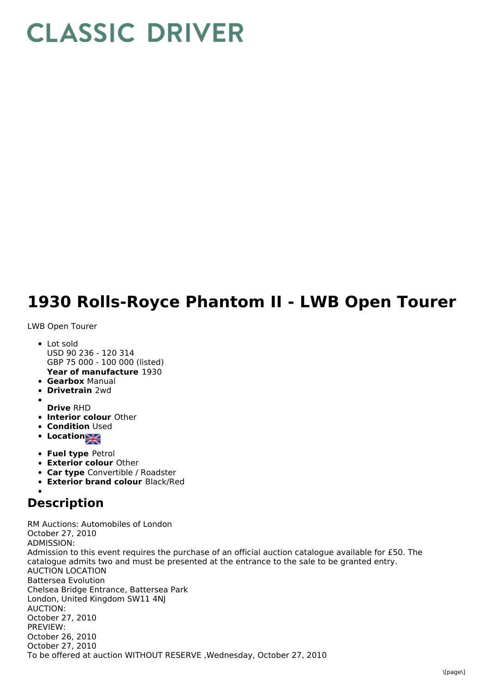## **CLASSIC DRIVER**

## **1930 Rolls-Royce Phantom II - LWB Open Tourer**

LWB Open Tourer

- **Year of manufacture** 1930 • Lot sold USD 90 236 - 120 314 GBP 75 000 - 100 000 (listed)
- **Gearbox** Manual
- **Drivetrain** 2wd
- 
- **Drive** RHD
- **Interior colour** Other
- **Condition Used**
- Location
- **Fuel type** Petrol
- **Exterior colour** Other
- **Car type** Convertible / Roadster
- **Exterior brand colour** Black/Red

## **Description**

RM Auctions: Automobiles of London October 27, 2010 ADMISSION: Admission to this event requires the purchase of an official auction catalogue available for £50. The catalogue admits two and must be presented at the entrance to the sale to be granted entry. AUCTION LOCATION Battersea Evolution Chelsea Bridge Entrance, Battersea Park London, United Kingdom SW11 4NJ AUCTION: October 27, 2010 PREVIEW: October 26, 2010 October 27, 2010 To be offered at auction WITHOUT RESERVE ,Wednesday, October 27, 2010